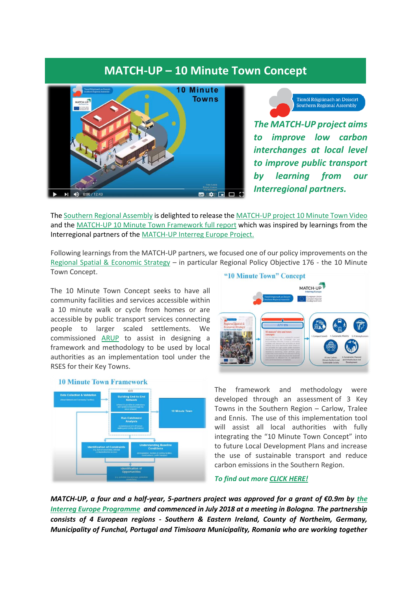## **MATCH-UP – 10 Minute Town Concept**



.<br>Tionól Réigiúnach an Deiscirt<br>Southern Regional Assembly *The MATCH-UP project aims* 

*to improve low carbon interchanges at local level to improve public transport by learning from our Interregional partners.*

The [Southern Regional Assembly](http://www.southernassembly.ie/) is delighted to release the [MATCH-UP project 10 Minute Town Video](https://youtu.be/4BVYiznrvxc) and the MATCH-UP 10 Minute [Town Framework full report](https://www.southernassembly.ie/regional-planning/rses-implementation/10-minute-towns) which was inspired by learnings from the Interregional partners of the [MATCH-UP Interreg Europe Project.](https://www.interregeurope.eu/match-up/)

Following learnings from the MATCH-UP partners, we focused one of our policy improvements on the [Regional Spatial & Economic Strategy](http://www.southernassembly.ie/regional-planning/rses) – in particular Regional Policy Objective 176 - the 10 Minute Town Concept.

The 10 Minute Town Concept seeks to have all community facilities and services accessible within a 10 minute walk or cycle from homes or are accessible by public transport services connecting people to larger scaled settlements. We commissioned [ARUP](https://www.arup.com/offices/ireland) to assist in designing a framework and methodology to be used by local authorities as an implementation tool under the RSES for their Key Towns.





The framework and methodology were developed through an assessment of 3 Key Towns in the Southern Region – Carlow, Tralee and Ennis. The use of this implementation tool will assist all local authorities with fully integrating the "10 Minute Town Concept" into to future Local Development Plans and increase the use of sustainable transport and reduce carbon emissions in the Southern Region.

*To find out more [CLICK HERE!](https://youtu.be/4BVYiznrvxc)*

*MATCH-UP, a four and a half-year, 5-partners project was approved for a grant of €0.9m by the Interreg [Europe Programme](https://www.interregeurope.eu/) and commenced in July 2018 at a meeting in Bologna. The partnership consists of 4 European regions - Southern & Eastern Ireland, County of Northeim, Germany, Municipality of Funchal, Portugal and Timisoara Municipality, Romania who are working together*